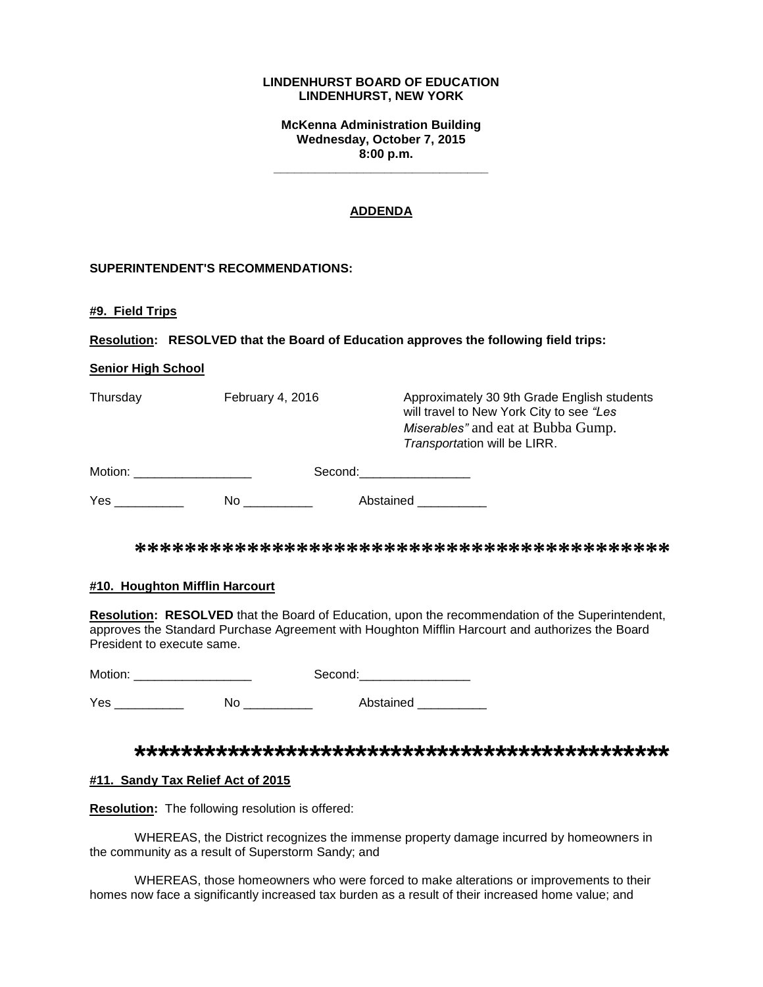#### **LINDENHURST BOARD OF EDUCATION LINDENHURST, NEW YORK**

**McKenna Administration Building Wednesday, October 7, 2015 8:00 p.m.**

**\_\_\_\_\_\_\_\_\_\_\_\_\_\_\_\_\_\_\_\_\_\_\_\_\_\_\_\_\_\_\_**

## **ADDENDA**

## **SUPERINTENDENT'S RECOMMENDATIONS:**

**#9. Field Trips**

**Resolution: RESOLVED that the Board of Education approves the following field trips:**

#### **Senior High School**

| Thursday | February 4, 2016 | Approximately 30 9th Grade English students<br>will travel to New York City to see "Les<br>Miserables" and eat at Bubba Gump.<br>Transportation will be LIRR. |
|----------|------------------|---------------------------------------------------------------------------------------------------------------------------------------------------------------|
| Motion:  | Second:          |                                                                                                                                                               |

Yes \_\_\_\_\_\_\_\_\_\_\_\_\_ No \_\_\_\_\_\_\_\_\_\_\_ Abstained \_\_\_\_\_\_\_\_\_\_

**\*\*\*\*\*\*\*\*\*\*\*\*\*\*\*\*\*\*\*\*\*\*\*\*\*\*\*\*\*\*\*\*\*\*\*\*\*\*\*\*\*\*\***

#### **#10. Houghton Mifflin Harcourt**

**Resolution: RESOLVED** that the Board of Education, upon the recommendation of the Superintendent, approves the Standard Purchase Agreement with Houghton Mifflin Harcourt and authorizes the Board President to execute same.

| Motion: |    | Second:   |
|---------|----|-----------|
| Yes     | N٥ | Abstained |

# **\*\*\*\*\*\*\*\*\*\*\*\*\*\*\*\*\*\*\*\*\*\*\*\*\*\*\*\*\*\*\*\*\*\*\*\*\*\*\*\*\*\*\*\*\*\***

#### **#11. Sandy Tax Relief Act of 2015**

**Resolution:** The following resolution is offered:

WHEREAS, the District recognizes the immense property damage incurred by homeowners in the community as a result of Superstorm Sandy; and

WHEREAS, those homeowners who were forced to make alterations or improvements to their homes now face a significantly increased tax burden as a result of their increased home value; and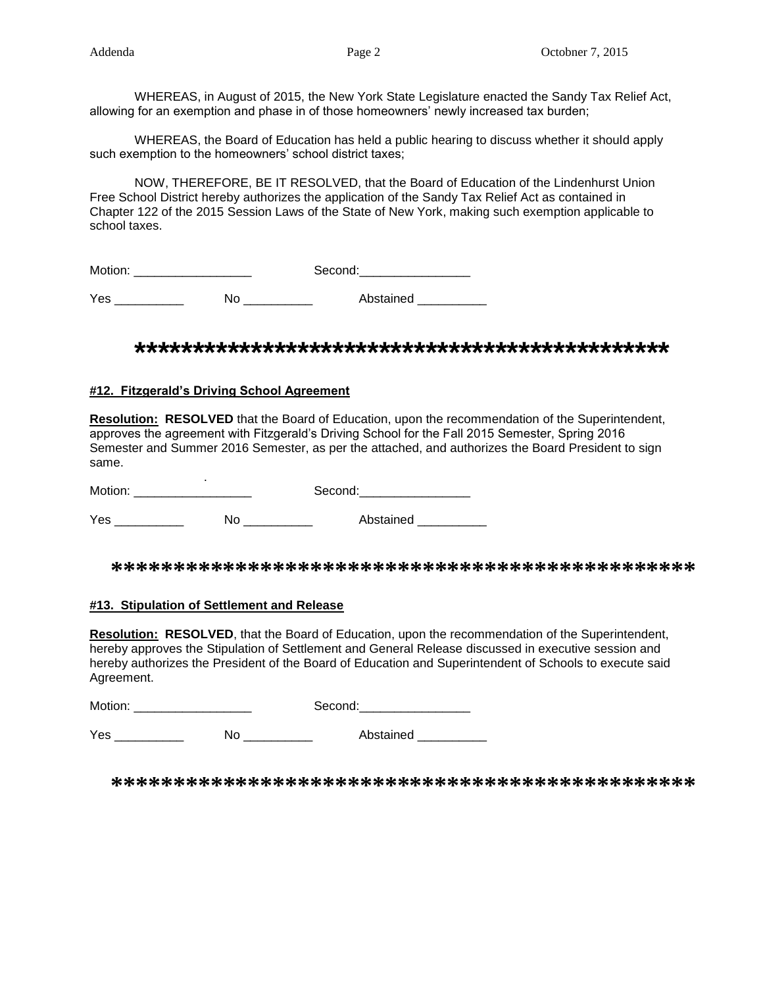WHEREAS, in August of 2015, the New York State Legislature enacted the Sandy Tax Relief Act, allowing for an exemption and phase in of those homeowners' newly increased tax burden;

WHEREAS, the Board of Education has held a public hearing to discuss whether it should apply such exemption to the homeowners' school district taxes;

NOW, THEREFORE, BE IT RESOLVED, that the Board of Education of the Lindenhurst Union Free School District hereby authorizes the application of the Sandy Tax Relief Act as contained in Chapter 122 of the 2015 Session Laws of the State of New York, making such exemption applicable to school taxes.

| Motion: |    | Second:   |
|---------|----|-----------|
| Yes     | No | Abstained |

# **\*\*\*\*\*\*\*\*\*\*\*\*\*\*\*\*\*\*\*\*\*\*\*\*\*\*\*\*\*\*\*\*\*\*\*\*\*\*\*\*\*\*\*\*\*\***

## **#12. Fitzgerald's Driving School Agreement**

**Resolution: RESOLVED** that the Board of Education, upon the recommendation of the Superintendent, approves the agreement with Fitzgerald's Driving School for the Fall 2015 Semester, Spring 2016 Semester and Summer 2016 Semester, as per the attached, and authorizes the Board President to sign same.

 . Motion: \_\_\_\_\_\_\_\_\_\_\_\_\_\_\_\_\_ Second:\_\_\_\_\_\_\_\_\_\_\_\_\_\_\_\_

Yes \_\_\_\_\_\_\_\_\_\_\_\_\_ No \_\_\_\_\_\_\_\_\_\_\_ Abstained \_\_\_\_\_\_\_\_\_\_

**\*\*\*\*\*\*\*\*\*\*\*\*\*\*\*\*\*\*\*\*\*\*\*\*\*\*\*\*\*\*\*\*\*\*\*\*\*\*\*\*\*\*\*\*\*\*\***

#### **#13. Stipulation of Settlement and Release**

**Resolution: RESOLVED**, that the Board of Education, upon the recommendation of the Superintendent, hereby approves the Stipulation of Settlement and General Release discussed in executive session and hereby authorizes the President of the Board of Education and Superintendent of Schools to execute said Agreement.

| Motion: | $\sim$ $\sim$ $\sim$ $\sim$ |
|---------|-----------------------------|
|         |                             |

Yes \_\_\_\_\_\_\_\_\_\_\_\_\_ No \_\_\_\_\_\_\_\_\_\_ Abstained \_\_\_\_\_\_\_\_\_

**\*\*\*\*\*\*\*\*\*\*\*\*\*\*\*\*\*\*\*\*\*\*\*\*\*\*\*\*\*\*\*\*\*\*\*\*\*\*\*\*\*\*\*\*\*\*\***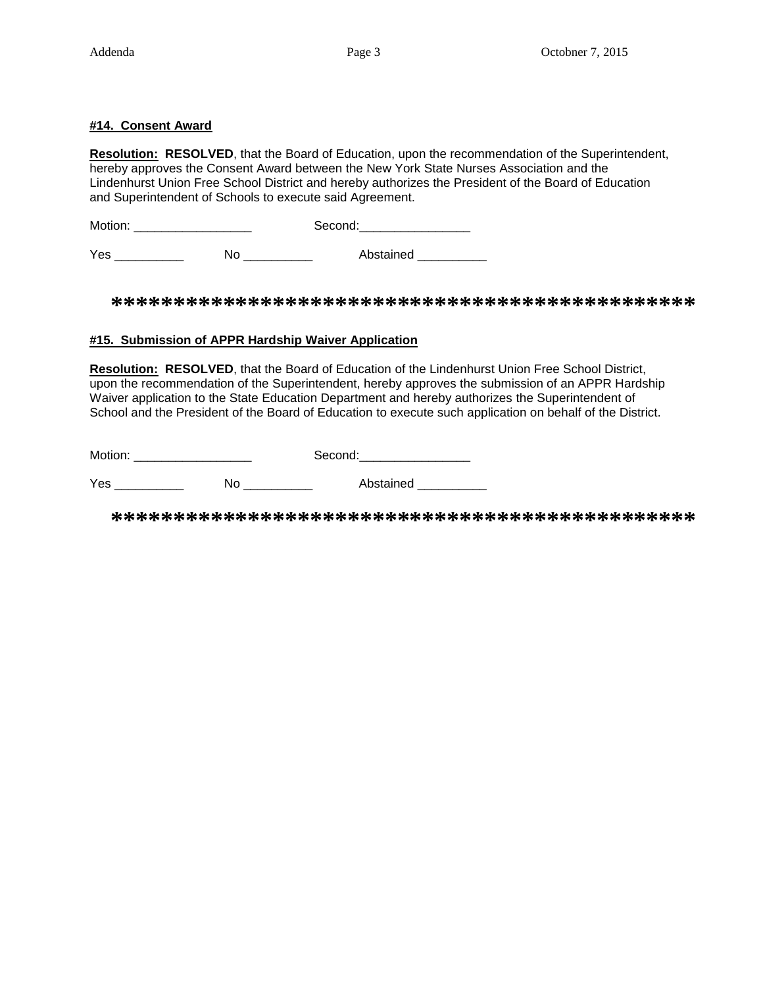## **#14. Consent Award**

**Resolution: RESOLVED**, that the Board of Education, upon the recommendation of the Superintendent, hereby approves the Consent Award between the New York State Nurses Association and the Lindenhurst Union Free School District and hereby authorizes the President of the Board of Education and Superintendent of Schools to execute said Agreement.

Motion: \_\_\_\_\_\_\_\_\_\_\_\_\_\_\_\_\_ Second:\_\_\_\_\_\_\_\_\_\_\_\_\_\_\_\_

Yes \_\_\_\_\_\_\_\_\_\_\_\_\_ No \_\_\_\_\_\_\_\_\_\_\_ Abstained \_\_\_\_\_\_\_\_\_\_\_

**\*\*\*\*\*\*\*\*\*\*\*\*\*\*\*\*\*\*\*\*\*\*\*\*\*\*\*\*\*\*\*\*\*\*\*\*\*\*\*\*\*\*\*\*\*\*\***

## **#15. Submission of APPR Hardship Waiver Application**

**Resolution: RESOLVED**, that the Board of Education of the Lindenhurst Union Free School District, upon the recommendation of the Superintendent, hereby approves the submission of an APPR Hardship Waiver application to the State Education Department and hereby authorizes the Superintendent of School and the President of the Board of Education to execute such application on behalf of the District.

Motion: \_\_\_\_\_\_\_\_\_\_\_\_\_\_\_\_\_ Second:\_\_\_\_\_\_\_\_\_\_\_\_\_\_\_\_

Yes \_\_\_\_\_\_\_\_\_\_\_\_ No \_\_\_\_\_\_\_\_\_ Abstained \_\_\_\_\_\_\_\_

**\*\*\*\*\*\*\*\*\*\*\*\*\*\*\*\*\*\*\*\*\*\*\*\*\*\*\*\*\*\*\*\*\*\*\*\*\*\*\*\*\*\*\*\*\*\*\***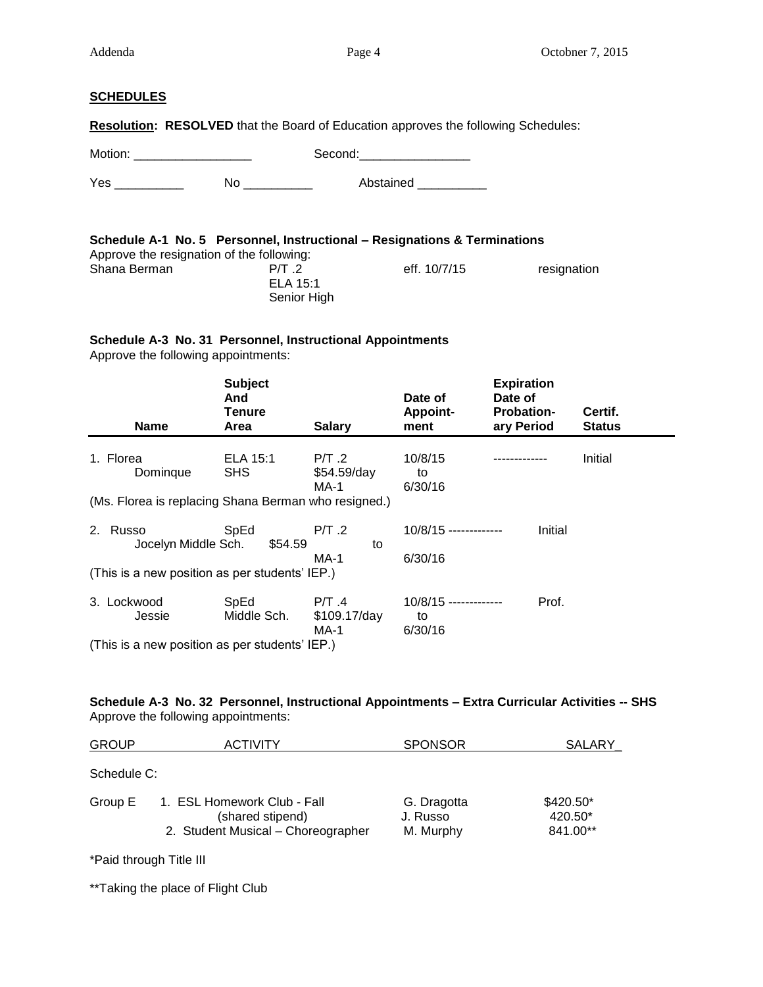#### **SCHEDULES**

**Resolution: RESOLVED** that the Board of Education approves the following Schedules:

Motion: \_\_\_\_\_\_\_\_\_\_\_\_\_\_\_\_\_ Second:\_\_\_\_\_\_\_\_\_\_\_\_\_\_\_\_

Yes \_\_\_\_\_\_\_\_\_\_\_\_ No \_\_\_\_\_\_\_\_\_\_ Abstained \_\_\_\_\_\_\_\_\_

| Schedule A-1 No. 5 Personnel, Instructional – Resignations & Terminations |                  |              |             |
|---------------------------------------------------------------------------|------------------|--------------|-------------|
| Approve the resignation of the following:                                 |                  |              |             |
| Shana Berman                                                              | PT <sub>.2</sub> | eff. 10/7/15 | resignation |
|                                                                           | ELA 15:1         |              |             |
|                                                                           | Senior High      |              |             |

# **Schedule A-3 No. 31 Personnel, Instructional Appointments**

Approve the following appointments:

| <b>Name</b>                                          | <b>Subject</b><br>And<br>Tenure<br>Area | <b>Salary</b>                      | Date of<br><b>Appoint-</b><br>ment       | <b>Expiration</b><br>Date of<br><b>Probation-</b><br>ary Period | Certif.<br><b>Status</b> |
|------------------------------------------------------|-----------------------------------------|------------------------------------|------------------------------------------|-----------------------------------------------------------------|--------------------------|
| 1. Florea<br>Domingue                                | ELA 15:1<br><b>SHS</b>                  | $P/T$ .2<br>$$54.59$ /day<br>MA-1  | 10/8/15<br>to<br>6/30/16                 |                                                                 | Initial                  |
| (Ms. Florea is replacing Shana Berman who resigned.) |                                         |                                    |                                          |                                                                 |                          |
| Russo<br>2.<br>Jocelyn Middle Sch.                   | SpEd<br>\$54.59                         | $P/T$ .2<br>to                     | $10/8/15$ -------------                  | Initial                                                         |                          |
| (This is a new position as per students' IEP.)       |                                         | <b>MA-1</b>                        | 6/30/16                                  |                                                                 |                          |
| 3. Lockwood<br>Jessie                                | SpEd<br>Middle Sch.                     | $P/T$ .4<br>$$109.17$ /day<br>MA-1 | $10/8/15$ -------------<br>to<br>6/30/16 | Prof.                                                           |                          |
| (This is a new position as per students' IEP.)       |                                         |                                    |                                          |                                                                 |                          |

# **Schedule A-3 No. 32 Personnel, Instructional Appointments – Extra Curricular Activities -- SHS** Approve the following appointments:

| <b>GROUP</b> | <b>ACTIVITY</b>                                                                       | <b>SPONSOR</b>                       | SALARY                           |
|--------------|---------------------------------------------------------------------------------------|--------------------------------------|----------------------------------|
| Schedule C:  |                                                                                       |                                      |                                  |
| Group E      | 1. ESL Homework Club - Fall<br>(shared stipend)<br>2. Student Musical - Choreographer | G. Dragotta<br>J. Russo<br>M. Murphy | \$420.50*<br>420.50*<br>841.00** |

\*Paid through Title III

\*\*Taking the place of Flight Club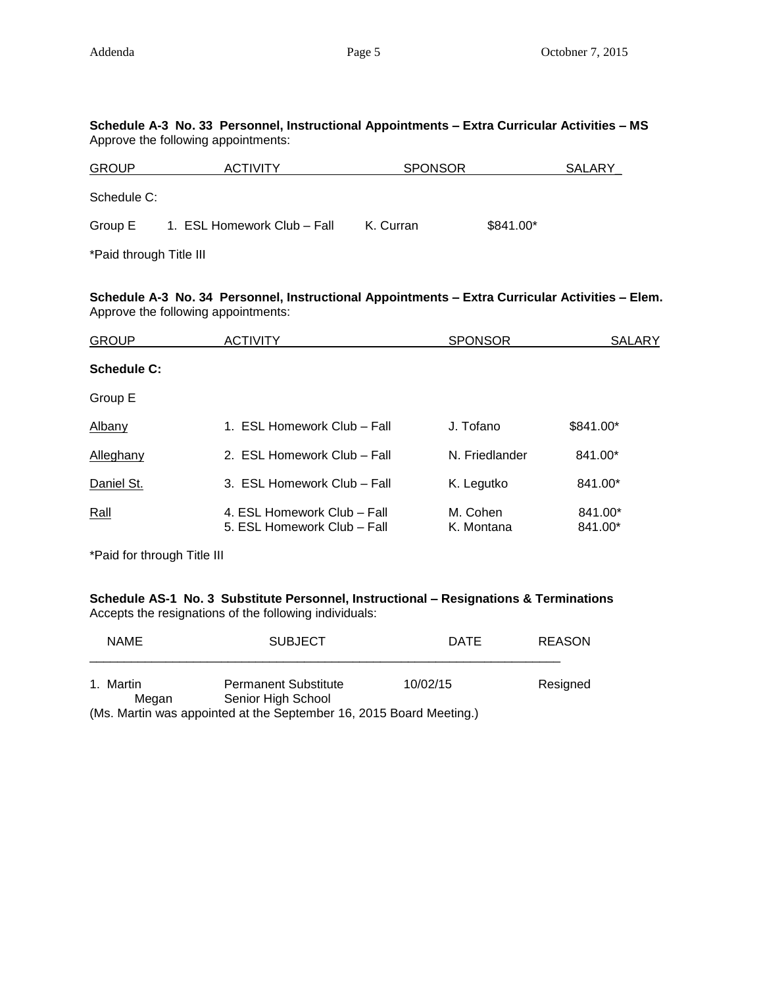| Schedule A-3 No. 33 Personnel, Instructional Appointments – Extra Curricular Activities – MS<br>Approve the following appointments: |                             |                |            |
|-------------------------------------------------------------------------------------------------------------------------------------|-----------------------------|----------------|------------|
| <b>GROUP</b>                                                                                                                        | <b>ACTIVITY</b>             | <b>SPONSOR</b> | SALARY     |
| Schedule C:                                                                                                                         |                             |                |            |
| Group E                                                                                                                             | 1. ESL Homework Club – Fall | K. Curran      | $$841.00*$ |

\*Paid through Title III

**Schedule A-3 No. 34 Personnel, Instructional Appointments – Extra Curricular Activities – Elem.** Approve the following appointments:

| <b>GROUP</b>       | <b>ACTIVITY</b>                                            | <b>SPONSOR</b>         | <b>SALARY</b>      |
|--------------------|------------------------------------------------------------|------------------------|--------------------|
| <b>Schedule C:</b> |                                                            |                        |                    |
| Group E            |                                                            |                        |                    |
| <b>Albany</b>      | 1. ESL Homework Club – Fall                                | J. Tofano              | \$841.00*          |
| Alleghany          | 2. ESL Homework Club – Fall                                | N. Friedlander         | 841.00*            |
| Daniel St.         | 3. ESL Homework Club - Fall                                | K. Legutko             | 841.00*            |
| Rall               | 4. ESL Homework Club – Fall<br>5. ESL Homework Club - Fall | M. Cohen<br>K. Montana | 841.00*<br>841.00* |

\*Paid for through Title III

**Schedule AS-1 No. 3 Substitute Personnel, Instructional – Resignations & Terminations** Accepts the resignations of the following individuals:

| <b>NAME</b> | <b>SUBJECT</b>                                                      | <b>DATE</b> | <b>REASON</b> |
|-------------|---------------------------------------------------------------------|-------------|---------------|
| 1. Martin   | <b>Permanent Substitute</b>                                         | 10/02/15    | Resigned      |
| Megan       | Senior High School                                                  |             |               |
|             | (Ms. Martin was appointed at the September 16, 2015 Board Meeting.) |             |               |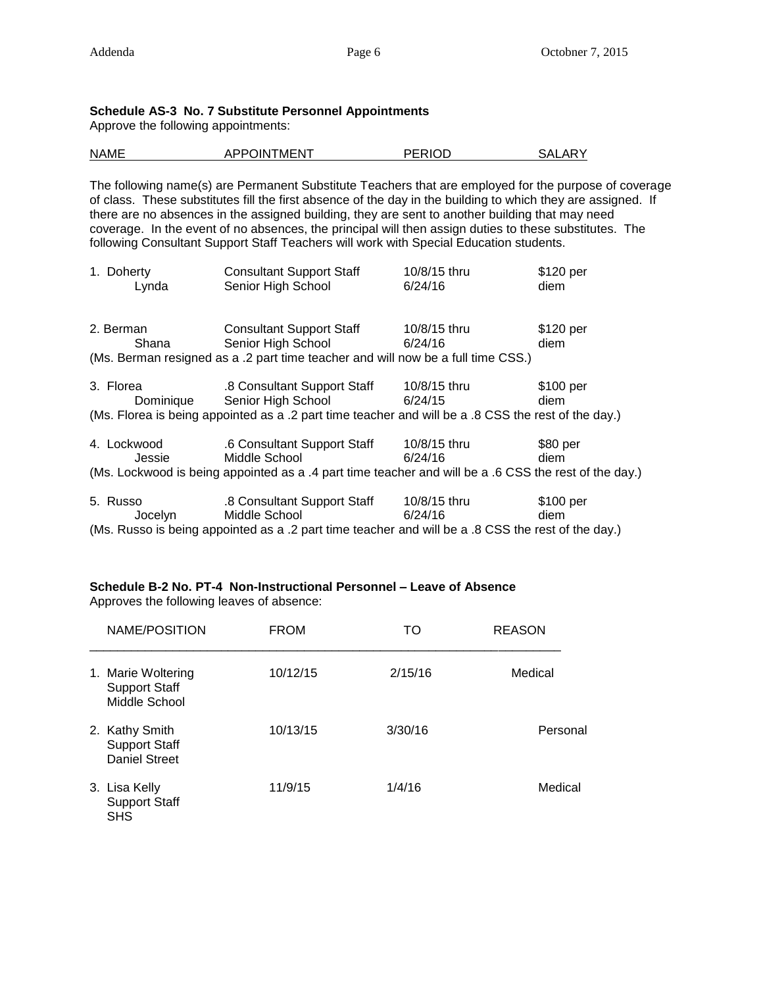## **Schedule AS-3 No. 7 Substitute Personnel Appointments**

Approve the following appointments:

| <b>NAME</b> | APPOINTMENT | PERIOD | SALARY |
|-------------|-------------|--------|--------|
|             |             |        |        |

The following name(s) are Permanent Substitute Teachers that are employed for the purpose of coverage of class. These substitutes fill the first absence of the day in the building to which they are assigned. If there are no absences in the assigned building, they are sent to another building that may need coverage. In the event of no absences, the principal will then assign duties to these substitutes. The following Consultant Support Staff Teachers will work with Special Education students.

| 1. Doherty<br>Lynda | <b>Consultant Support Staff</b><br>Senior High School                                                 | 10/8/15 thru<br>6/24/16 | \$120 per<br>diem |
|---------------------|-------------------------------------------------------------------------------------------------------|-------------------------|-------------------|
|                     |                                                                                                       |                         |                   |
| 2. Berman           | <b>Consultant Support Staff</b>                                                                       | 10/8/15 thru            | \$120 per         |
| Shana               | Senior High School                                                                                    | 6/24/16                 | diem              |
|                     | (Ms. Berman resigned as a .2 part time teacher and will now be a full time CSS.)                      |                         |                   |
| 3. Florea           | .8 Consultant Support Staff                                                                           | 10/8/15 thru            | \$100 per         |
|                     | Dominique Senior High School                                                                          | 6/24/15                 | diem              |
|                     | (Ms. Florea is being appointed as a .2 part time teacher and will be a .8 CSS the rest of the day.)   |                         |                   |
| 4. Lockwood         | .6 Consultant Support Staff                                                                           | 10/8/15 thru            | \$80 per          |
| Jessie              | Middle School                                                                                         | 6/24/16                 | diem              |
|                     | (Ms. Lockwood is being appointed as a .4 part time teacher and will be a .6 CSS the rest of the day.) |                         |                   |
| 5. Russo            | .8 Consultant Support Staff                                                                           | 10/8/15 thru            | \$100 per         |
| Jocelyn             | Middle School                                                                                         | 6/24/16                 | diem              |
|                     | (Ms. Russo is being appointed as a .2 part time teacher and will be a .8 CSS the rest of the day.)    |                         |                   |

# **Schedule B-2 No. PT-4 Non-Instructional Personnel – Leave of Absence**

Approves the following leaves of absence:

| NAME/POSITION                                                  | <b>FROM</b> | TO      | <b>REASON</b> |
|----------------------------------------------------------------|-------------|---------|---------------|
| 1. Marie Woltering<br><b>Support Staff</b><br>Middle School    | 10/12/15    | 2/15/16 | Medical       |
| 2. Kathy Smith<br><b>Support Staff</b><br><b>Daniel Street</b> | 10/13/15    | 3/30/16 | Personal      |
| 3. Lisa Kelly<br><b>Support Staff</b><br><b>SHS</b>            | 11/9/15     | 1/4/16  | Medical       |